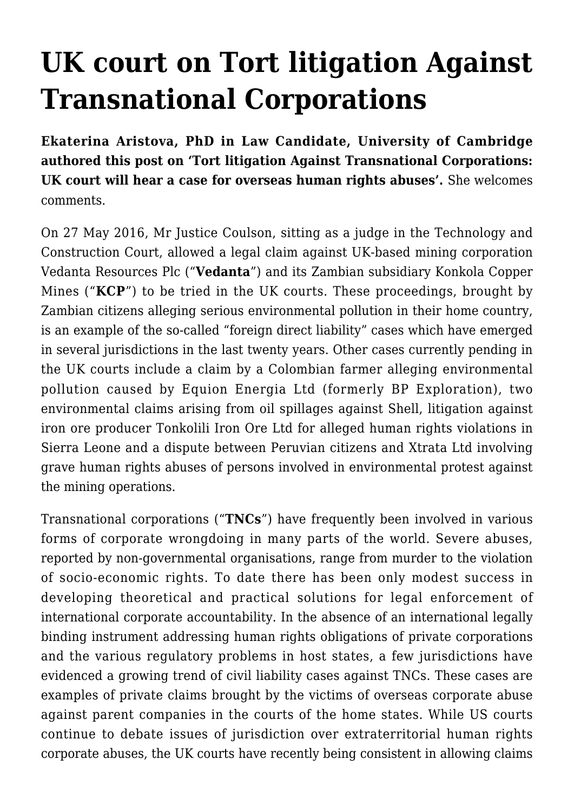# **[UK court on Tort litigation Against](https://conflictoflaws.net/2016/uk-court-on-tort-litigation-against-transnational-corporations/) [Transnational Corporations](https://conflictoflaws.net/2016/uk-court-on-tort-litigation-against-transnational-corporations/)**

**[Ekaterina Aristova,](http://www.law.cam.ac.uk/people/research-students/e-aristova/77402) PhD in Law Candidate, University of Cambridge authored this post on 'Tort litigation Against Transnational Corporations: UK court will hear a case for overseas human rights abuses'.** She welcomes comments.

On [27 May 2016](http://www.bailii.org/cgi-bin/format.cgi?doc=/ew/cases/EWHC/TCC/2016/975.html&query=(vedanta)), Mr Justice Coulson, sitting as a judge in the Technology and Construction Court, allowed a legal claim against UK-based mining corporation Vedanta Resources Plc ("**Vedanta**") and its Zambian subsidiary Konkola Copper Mines ("**KCP**") to be tried in the UK courts. These proceedings, brought by Zambian citizens alleging serious environmental pollution in their home country, is an example of the so-called ["foreign direct liability"](https://www.ciaonet.org/attachments/8443/uploads) cases which have emerged in several jurisdictions in the last twenty years. Other cases currently pending in the UK courts include a claim by a Colombian farmer alleging environmental pollution caused by [Equion Energia Ltd](http://www.theguardian.com/global-development/2014/oct/15/colombian-farmers-sue-bp-british-court) (formerly BP Exploration), two environmental claims arising from oil spillages against [Shell,](http://www.nytimes.com/2016/03/03/business/energy-environment/shell-oil-spills-lawsuit.html?_r=0) litigation against iron ore producer [Tonkolili Iron Ore Ltd](https://www.leighday.co.uk/News/2015/December-2015/Legal-actions-begins-at-High-Court-over-allegation) for alleged human rights violations in Sierra Leone and a dispute between Peruvian citizens and [Xtrata Ltd](https://www.leighday.co.uk/News/News-2016/February-2016/Hearing-in-London-High-Court-in-claim-by-Peruvians) involving grave human rights abuses of persons involved in environmental protest against the mining operations.

Transnational corporations ("**TNCs**") have frequently been involved in various forms of corporate wrongdoing in many parts of the world. Severe abuses, [reported](http://www.globalexchange.org/corporateHRviolators) by non-governmental organisations, range from murder to the violation of socio-economic rights. To date there has been only modest success in developing theoretical and practical solutions for legal enforcement of international corporate accountability. In the absence of an international legally binding instrument addressing human rights obligations of private corporations and the various regulatory problems in host states, a few jurisdictions have evidenced a growing trend of civil liability cases against TNCs. These cases are examples of private claims brought by the victims of overseas corporate abuse against parent companies in the courts of the home states. While US courts continue to [debate](http://www.ejiltalk.org/the-corporate-liability-debate-is-still-alive-and-kicking-in-us-courts/) issues of jurisdiction over extraterritorial human rights corporate abuses, the UK courts have recently being consistent in allowing claims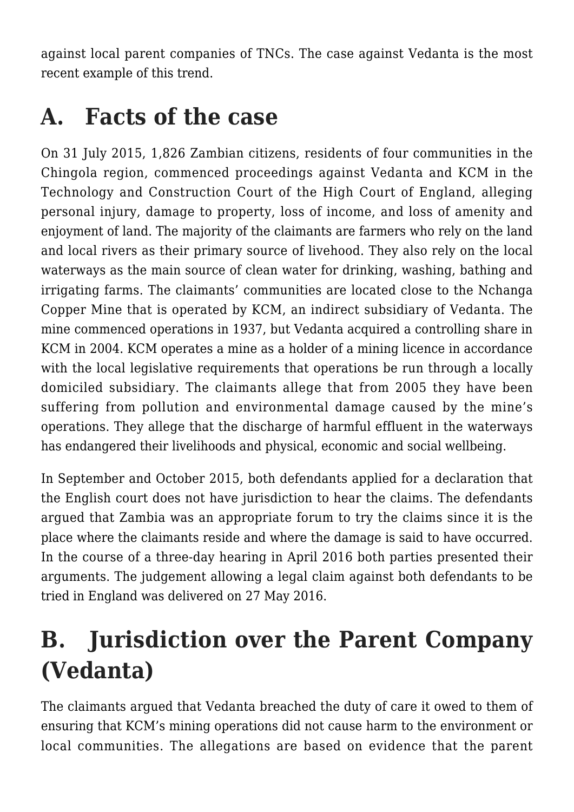against local parent companies of TNCs. The case against Vedanta is the most recent example of this trend.

### **A. Facts of the case**

On 31 July 2015, 1,826 Zambian citizens, residents of four communities in the Chingola region, commenced [proceedings](https://www.leighday.co.uk/News/2015/August-2015/Zambian-communities-sue-copper-mining-giant-in-Eng) against Vedanta and KCM in the Technology and Construction Court of the High Court of England, alleging personal injury, damage to property, loss of income, and loss of amenity and enjoyment of land. The majority of the claimants are farmers who rely on the land and local rivers as their primary source of livehood. They also rely on the local waterways as the main source of clean water for drinking, washing, bathing and irrigating farms. The claimants' communities are located close to the Nchanga Copper Mine that is operated by KCM, an indirect subsidiary of Vedanta. The mine commenced operations in 1937, but Vedanta acquired a controlling share in KCM in 2004. KCM operates a mine as a holder of a mining licence in accordance with the local legislative requirements that operations be run through a locally domiciled subsidiary. The claimants allege that from 2005 they have been suffering from pollution and environmental damage caused by the mine's operations. They allege that the discharge of harmful effluent in the waterways has endangered their livelihoods and physical, economic and social wellbeing.

In September and October 2015, both defendants applied for a declaration that the English court does not have jurisdiction to hear the claims. The defendants argued that Zambia was an appropriate forum to try the claims since it is the place where the claimants reside and where the damage is said to have occurred. In the course of a three-day [hearing](https://www.leighday.co.uk/News/News-2016/April-2016/Vedanta-Resources-challenge-jurisdiction-of-Zambia) in April 2016 both parties presented their arguments. The judgement allowing a legal claim against both defendants to be tried in England was delivered on 27 May 2016.

#### **B. Jurisdiction over the Parent Company (Vedanta)**

The claimants argued that Vedanta breached the duty of care it owed to them of ensuring that KCM's mining operations did not cause harm to the environment or local communities. The allegations are based on evidence that the parent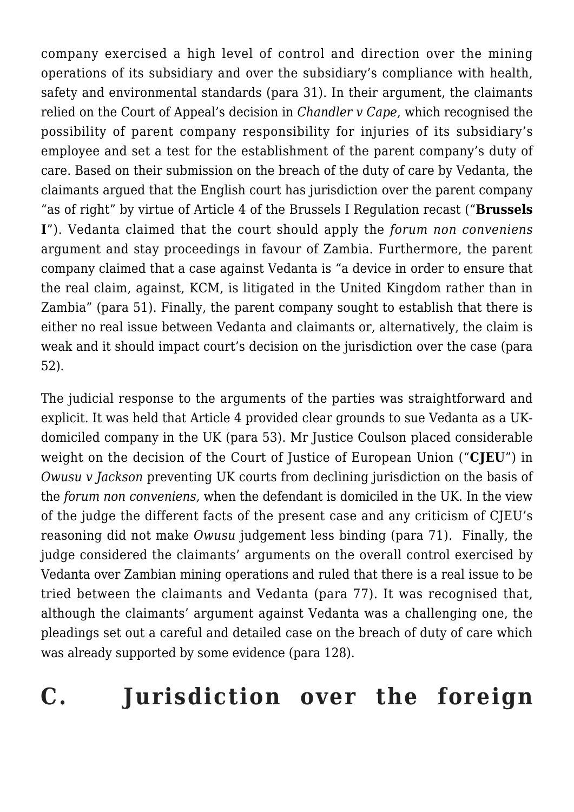company exercised a high level of control and direction over the mining operations of its subsidiary and over the subsidiary's compliance with health, safety and environmental standards (para 31). In their argument, the claimants relied on the Court of Appeal's decision in *[Chandler v Cape](http://www.bailii.org/cgi-bin/format.cgi?doc=/ew/cases/EWCA/Civ/2012/525.html&query=(chandler)+AND+(v)+AND+(cape))*[,](http://www.bailii.org/cgi-bin/format.cgi?doc=/ew/cases/EWCA/Civ/2012/525.html&query=(chandler)+AND+(v)+AND+(cape)) which recognised the possibility of parent company responsibility for injuries of its subsidiary's employee and set a test for the establishment of the parent company's duty of care. Based on their submission on the breach of the duty of care by Vedanta, the claimants argued that the English court has jurisdiction over the parent company "as of right" by virtue of Article 4 of the Brussels I Regulation recast ("**Brussels I**"). Vedanta claimed that the court should apply the *forum non conveniens* argument and stay proceedings in favour of Zambia. Furthermore, the parent company claimed that a case against Vedanta is "a device in order to ensure that the real claim, against, KCM, is litigated in the United Kingdom rather than in Zambia" (para 51). Finally, the parent company sought to establish that there is either no real issue between Vedanta and claimants or, alternatively, the claim is weak and it should impact court's decision on the jurisdiction over the case (para 52).

The judicial response to the arguments of the parties was straightforward and explicit. It was held that Article 4 provided clear grounds to sue Vedanta as a UKdomiciled company in the UK (para 53). Mr Justice Coulson placed considerable weight on the decision of the Court of Justice of European Union ("**CJEU**") in *[Owusu v Jackson](http://curia.europa.eu/juris/liste.jsf?language=en&num=C-281/02)* preventing UK courts from declining jurisdiction on the basis of the *forum non conveniens,* when the defendant is domiciled in the UK. In the view of the judge the different facts of the present case and any criticism of CJEU's reasoning did not make *Owusu* judgement less binding (para 71). Finally, the judge considered the claimants' arguments on the overall control exercised by Vedanta over Zambian mining operations and ruled that there is a real issue to be tried between the claimants and Vedanta (para 77). It was recognised that, although the claimants' argument against Vedanta was a challenging one, the pleadings set out a careful and detailed case on the breach of duty of care which was already supported by some evidence (para 128).

#### **C. Jurisdiction over the foreign**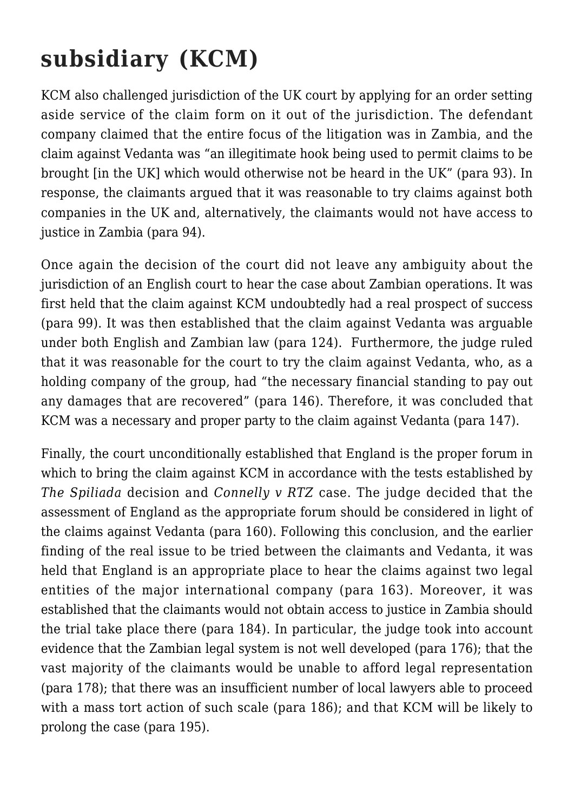## **subsidiary (KCM)**

KCM also challenged jurisdiction of the UK court by applying for an order setting aside service of the claim form on it out of the jurisdiction. The defendant company claimed that the entire focus of the litigation was in Zambia, and the claim against Vedanta was "an illegitimate hook being used to permit claims to be brought [in the UK] which would otherwise not be heard in the UK" (para 93). In response, the claimants argued that it was reasonable to try claims against both companies in the UK and, alternatively, the claimants would not have access to justice in Zambia (para 94).

Once again the decision of the court did not leave any ambiguity about the jurisdiction of an English court to hear the case about Zambian operations. It was first held that the claim against KCM undoubtedly had a real prospect of success (para 99). It was then established that the claim against Vedanta was arguable under both English and Zambian law (para 124). Furthermore, the judge ruled that it was reasonable for the court to try the claim against Vedanta, who, as a holding company of the group, had "the necessary financial standing to pay out any damages that are recovered" (para 146). Therefore, it was concluded that KCM was a necessary and proper party to the claim against Vedanta (para 147).

Finally, the court unconditionally established that England is the proper forum in which to bring the claim against KCM in accordance with the tests established by *[The Spiliada](http://www.bailii.org/cgi-bin/format.cgi?doc=/uk/cases/UKHL/1986/10.html&query=(spiliada))* decision and *[Connelly v RTZ](http://www.bailii.org/cgi-bin/format.cgi?doc=/uk/cases/UKHL/1997/30.html&query=(connelly)+AND+(v)+AND+(rtz))* case. The judge decided that the assessment of England as the appropriate forum should be considered in light of the claims against Vedanta (para 160). Following this conclusion, and the earlier finding of the real issue to be tried between the claimants and Vedanta, it was held that England is an appropriate place to hear the claims against two legal entities of the major international company (para 163). Moreover, it was established that the claimants would not obtain access to justice in Zambia should the trial take place there (para 184). In particular, the judge took into account evidence that the Zambian legal system is not well developed (para 176); that the vast majority of the claimants would be unable to afford legal representation (para 178); that there was an insufficient number of local lawyers able to proceed with a mass tort action of such scale (para 186); and that KCM will be likely to prolong the case (para 195).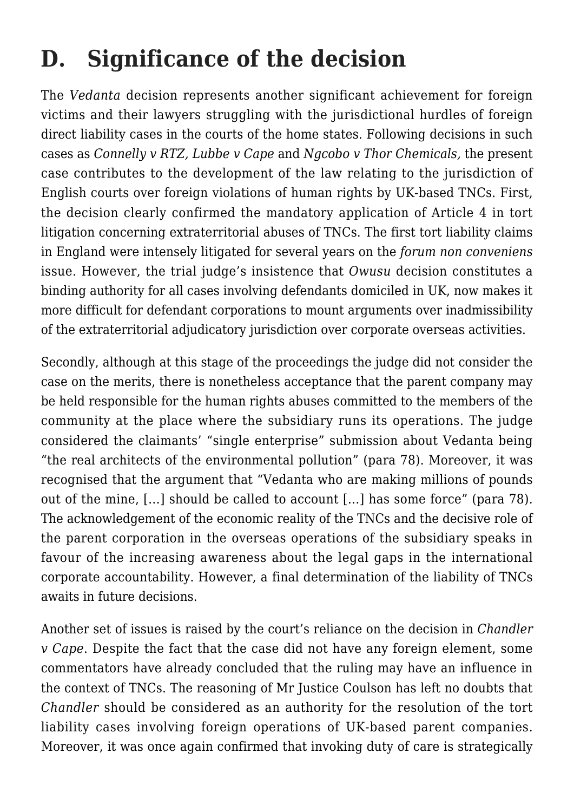## **D. Significance of the decision**

The *Vedanta* decision represents another significant achievement for foreign victims and their lawyers struggling with the jurisdictional hurdles of foreign direct liability cases in the courts of the home states. Following decisions in such cases as *Connelly v RTZ, Lubbe v Cape* and *Ngcobo v Thor Chemicals,* the present case contributes to the development of the law relating to the jurisdiction of English courts over foreign violations of human rights by UK-based TNCs. First, the decision clearly confirmed the mandatory application of Article 4 in tort litigation concerning extraterritorial abuses of TNCs. The first tort liability claims in England were intensely litigated for several years on the *forum non conveniens* issue. However, the trial judge's insistence that *Owusu* decision constitutes a binding authority for all cases involving defendants domiciled in UK, now makes it more difficult for defendant corporations to mount arguments over inadmissibility of the extraterritorial adjudicatory jurisdiction over corporate overseas activities.

Secondly, although at this stage of the proceedings the judge did not consider the case on the merits, there is nonetheless acceptance that the parent company may be held responsible for the human rights abuses committed to the members of the community at the place where the subsidiary runs its operations. The judge considered the claimants' "single enterprise" submission about Vedanta being "the real architects of the environmental pollution" (para 78). Moreover, it was recognised that the argument that "Vedanta who are making millions of pounds out of the mine, […] should be called to account […] has some force" (para 78). The acknowledgement of the economic reality of the TNCs and the decisive role of the parent corporation in the overseas operations of the subsidiary speaks in favour of the increasing awareness about the legal gaps in the international corporate accountability. However, a final determination of the liability of TNCs awaits in future decisions.

Another set of issues is raised by the court's reliance on the decision in *Chandler v Cape*. Despite the fact that the case did not have any foreign element, some [commentators](http://www.leighday.co.uk/LeighDay/media/LeighDay/documents/Corporate%20accountability/Tort-litigation-against-multinational-corporations-by-Richard-Meeran.pdf?ext=.pdf) have already concluded that the ruling may have an influence in the context of TNCs. The reasoning of Mr Justice Coulson has left no doubts that *Chandler* should be considered as an authority for the resolution of the tort liability cases involving foreign operations of UK-based parent companies. Moreover, it was once again confirmed that invoking duty of care is strategically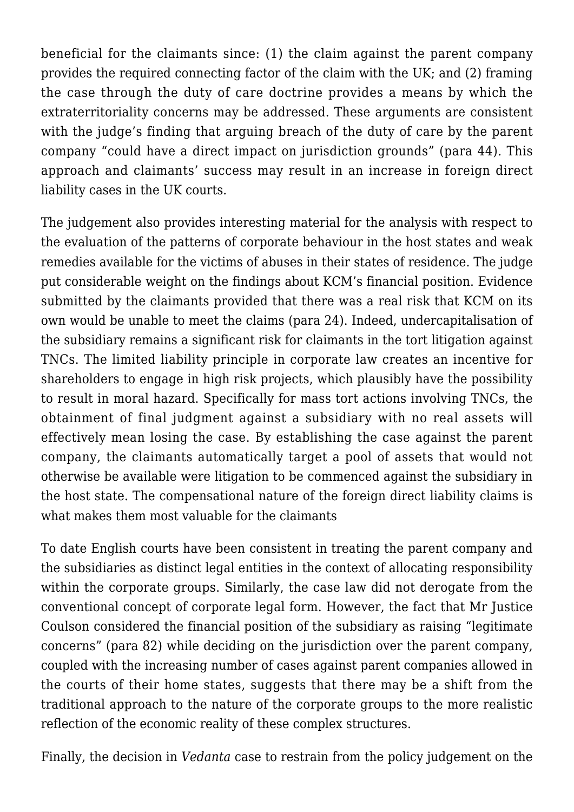beneficial for the claimants since: (1) the claim against the parent company provides the required connecting factor of the claim with the UK; and (2) framing the case through the duty of care doctrine provides a means by which the extraterritoriality concerns may be addressed. These arguments are consistent with the judge's finding that arguing breach of the duty of care by the parent company "could have a direct impact on jurisdiction grounds" (para 44). This approach and claimants' success may result in an increase in foreign direct liability cases in the UK courts.

The judgement also provides interesting material for the analysis with respect to the evaluation of the patterns of corporate behaviour in the host states and weak remedies available for the victims of abuses in their states of residence. The judge put considerable weight on the findings about KCM's financial position. Evidence submitted by the claimants provided that there was a real risk that KCM on its own would be unable to meet the claims (para 24). Indeed, undercapitalisation of the subsidiary remains a significant risk for claimants in the tort litigation against TNCs. The limited liability principle in corporate law creates an incentive for shareholders to engage in high risk projects, which plausibly have the possibility to result in moral hazard. Specifically for mass tort actions involving TNCs, the obtainment of final judgment against a subsidiary with no real assets will effectively mean losing the case. By establishing the case against the parent company, the claimants automatically target a pool of assets that would not otherwise be available were litigation to be commenced against the subsidiary in the host state. The compensational nature of the foreign direct liability claims is what makes them most valuable for the claimants

To date English courts have been consistent in treating the parent company and the subsidiaries as distinct legal entities in the context of allocating responsibility within the corporate groups. Similarly, the case law did not derogate from the [conventional](http://www.bailii.org/cgi-bin/format.cgi?doc=/uk/cases/UKHL/1896/1.html&query=(salomon)) concept of corporate legal form. However, the fact that Mr Justice Coulson considered the financial position of the subsidiary as raising "legitimate concerns" (para 82) while deciding on the jurisdiction over the parent company, coupled with the increasing number of cases against parent companies allowed in the courts of their home states, suggests that there may be a shift from the traditional approach to the nature of the corporate groups to the more realistic reflection of the economic reality of these complex structures.

Finally, the decision in *Vedanta* case to restrain from the policy judgement on the